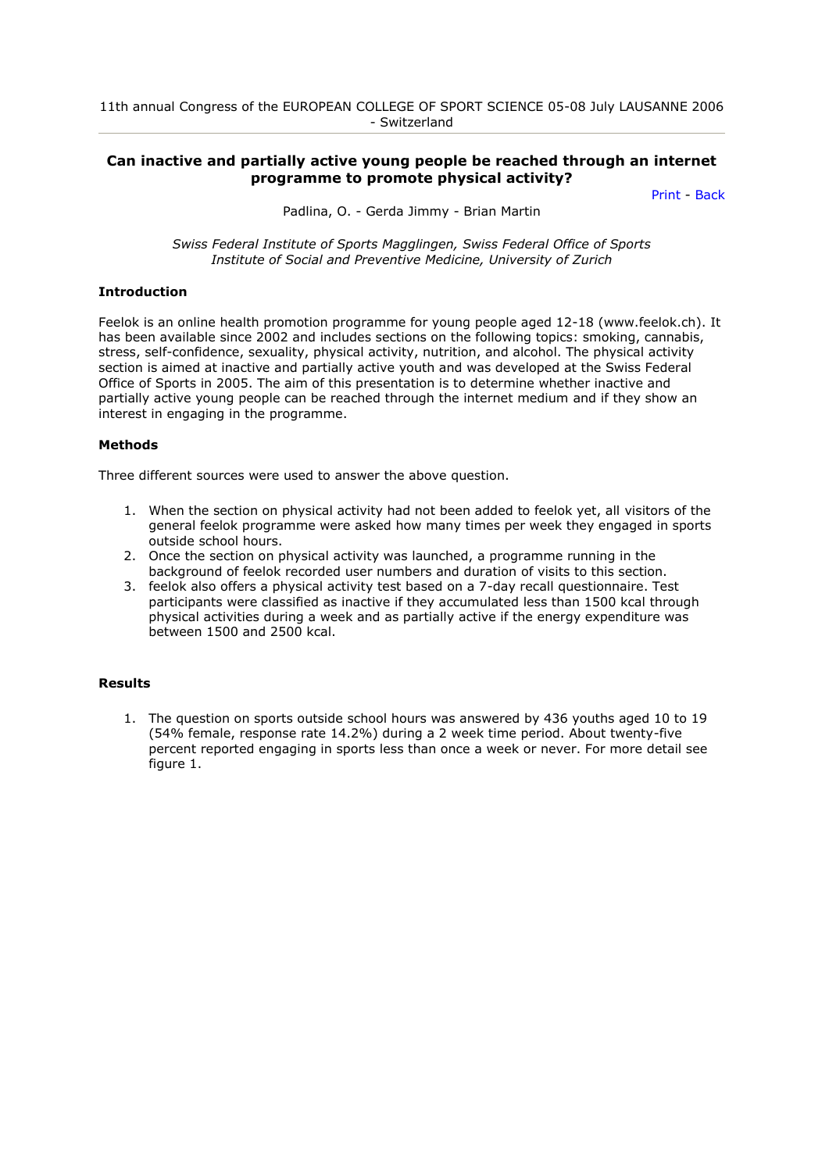# **Can inactive and partially active young people be reached through an internet programme to promote physical activity?**

[Print](javascript:self.print();) - [Back](javascript:history.back();)

Padlina, O. - Gerda Jimmy - Brian Martin

*Swiss Federal Institute of Sports Magglingen, Swiss Federal Office of Sports Institute of Social and Preventive Medicine, University of Zurich* 

#### **Introduction**

Feelok is an online health promotion programme for young people aged 12-18 (www.feelok.ch). It has been available since 2002 and includes sections on the following topics: smoking, cannabis, stress, self-confidence, sexuality, physical activity, nutrition, and alcohol. The physical activity section is aimed at inactive and partially active youth and was developed at the Swiss Federal Office of Sports in 2005. The aim of this presentation is to determine whether inactive and partially active young people can be reached through the internet medium and if they show an interest in engaging in the programme.

## **Methods**

Three different sources were used to answer the above question.

- 1. When the section on physical activity had not been added to feelok yet, all visitors of the general feelok programme were asked how many times per week they engaged in sports outside school hours.
- 2. Once the section on physical activity was launched, a programme running in the background of feelok recorded user numbers and duration of visits to this section.
- 3. feelok also offers a physical activity test based on a 7-day recall questionnaire. Test participants were classified as inactive if they accumulated less than 1500 kcal through physical activities during a week and as partially active if the energy expenditure was between 1500 and 2500 kcal.

## **Results**

1. The question on sports outside school hours was answered by 436 youths aged 10 to 19 (54% female, response rate 14.2%) during a 2 week time period. About twenty-five percent reported engaging in sports less than once a week or never. For more detail see figure 1.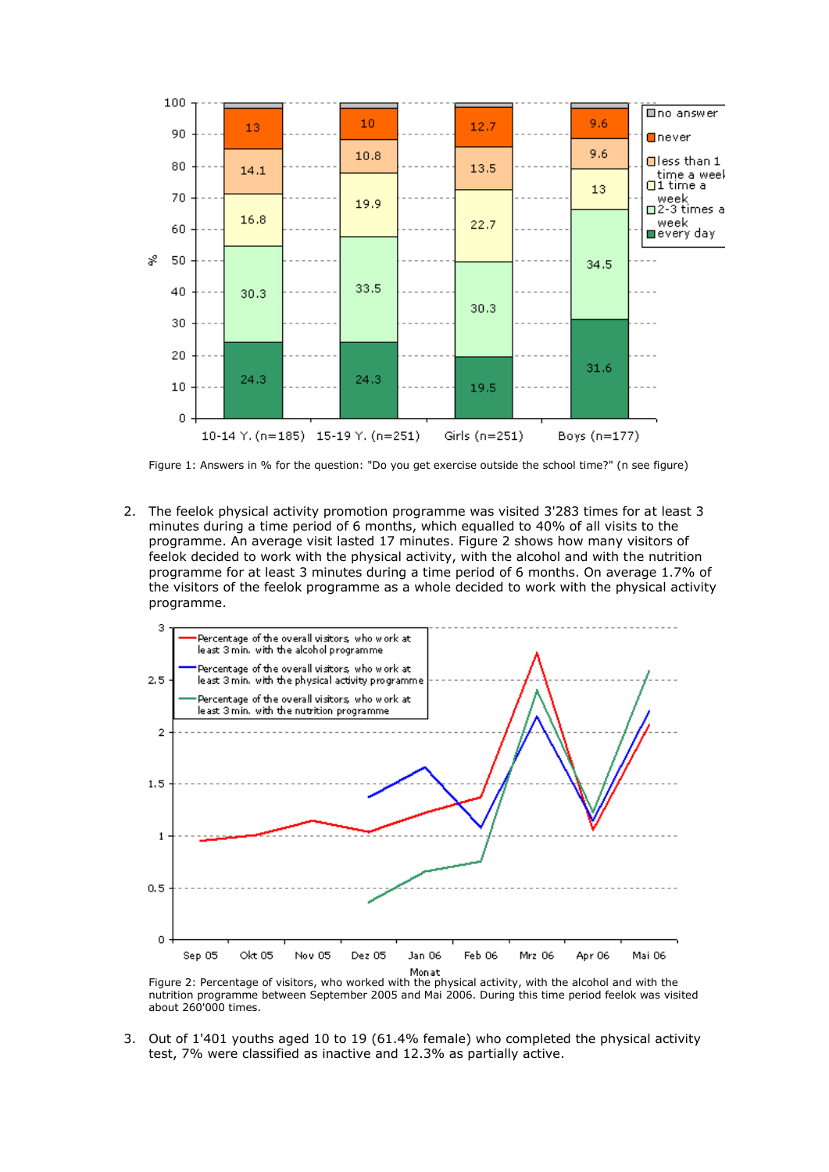

Figure 1: Answers in % for the question: "Do you get exercise outside the school time?" (n see figure)

2. The feelok physical activity promotion programme was visited 3'283 times for at least 3 minutes during a time period of 6 months, which equalled to 40% of all visits to the programme. An average visit lasted 17 minutes. Figure 2 shows how many visitors of feelok decided to work with the physical activity, with the alcohol and with the nutrition programme for at least 3 minutes during a time period of 6 months. On average 1.7% of the visitors of the feelok programme as a whole decided to work with the physical activity programme.



Figure 2: Percentage of visitors, who worked with the physical activity, with the alcohol and with the nutrition programme between September 2005 and Mai 2006. During this time period feelok was visited about 260'000 times.

3. Out of 1'401 youths aged 10 to 19 (61.4% female) who completed the physical activity test, 7% were classified as inactive and 12.3% as partially active.